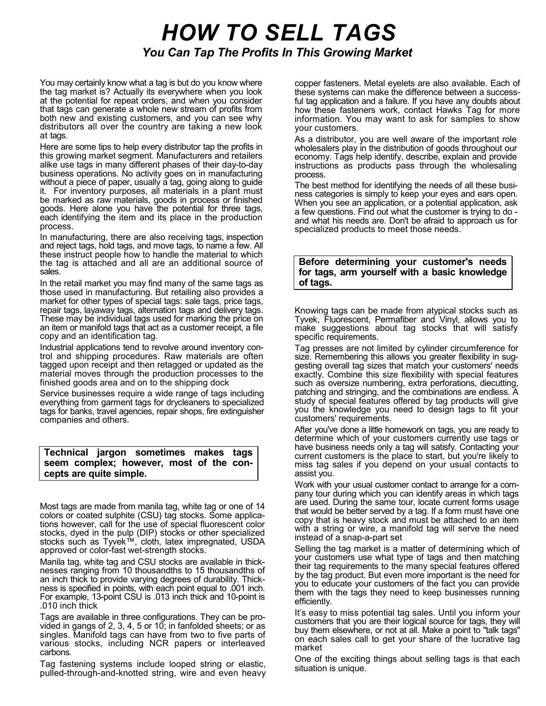## HOW TO SELL TAGS You Can Tap The Profits In This Growing Market

You may certainly know what a tag is but do you know where the tag market is? Actually its everywhere when you look at the potential for repeat orders, and when you consider that tags can generate a whole new stream of profits from both new and existing customers, and you can see why distributors all over the country are taking a new look at tags.

Here are some tips to help every distributor tap the profits in this growing market segment. Manufacturers and retailers alike use tags in many different phases of their day-to-day business operations. No activity goes on in manufacturing without a piece of paper, usually a tag, going along to guide it. For inventory purposes, all materials in a plant must be marked as raw materials, goods in process or finished goods. Here alone you have the potential for three tags, each identifying the item and its place in the production process.

In manufacturing, there are also receiving tags, inspection and reject tags, hold tags, and move tags, to name a few. All these instruct people how to handle the material to which the tag is attached and all are an additional source of sales.

In the retail market you may find many of the same tags as those used in manufacturing. But retailing also provides a market for other types of special tags: sale tags, price tags, repair tags, layaway tags, alternation tags and delivery tags. These may be individual tags used for marking the price on an item or manifold tags that act as a customer receipt, a file copy and an identification tag.

Industrial applications tend to revolve around inventory control and shipping procedures. Raw materials are often tagged upon receipt and then retagged or updated as the material moves through the production processes to the finished goods area and on to the shipping dock

Service businesses require a wide range of tags including everything from garment tags for drycleaners to specialized tags for banks, travel agencies, repair shops, fire extinguisher companies and others.

Technical jargon sometimes makes tags seem complex; however, most of the concepts are quite simple.

Most tags are made from manila tag, white tag or one of 14 colors or coated sulphite (CSU) tag stocks. Some applications however, call for the use of special fluorescent color stocks, dyed in the pulp (DIP) stocks or other specialized stocks such as Tyvek™, cloth, latex impregnated, USDA approved or color-fast wet-strength stocks.

Manila tag, white tag and CSU stocks are available in thicknesses ranging from 10 thousandths to 15 thousandths of an inch thick to provide varying degrees of durability. Thickness is specified in points, with each point equal to .001 inch. For example, 13-point CSU is .013 inch thick and 10-point is .010 inch thick

Tags are available in three configurations. They can be provided in gangs of 2, 3, 4, 5 or 10; in fanfolded sheets; or as singles. Manifold tags can have from two to five parts of various stocks, including NCR papers or interleaved carbons.

Tag fastening systems include looped string or elastic, pulled-through-and-knotted string, wire and even heavy copper fasteners. Metal eyelets are also available. Each of these systems can make the difference between a successful tag application and a failure. If you have any doubts about how these fasteners work, contact Hawks Tag for more information. You may want to ask for samples to show your customers.

As a distributor, you are well aware of the important role wholesalers play in the distribution of goods throughout our economy. Tags help identify, describe, explain and provide instructions as products pass through the wholesaling process.

The best method for identifying the needs of all these business categories is simply to keep your eyes and ears open. When you see an application, or a potential application, ask a few questions. Find out what the customer is trying to do and what his needs are. Don't be afraid to approach us for specialized products to meet those needs.

## Before determining your customer's needs for tags, arm yourself with a basic knowledge of tags.

Knowing tags can be made from atypical stocks such as Tyvek, Fluorescent, Permafiber and Vinyl, allows you to make suggestions about tag stocks that will satisfy specific requirements.

Tag presses are not limited by cylinder circumference for size. Remembering this allows you greater flexibility in suggesting overall tag sizes that match your customers' needs exactly. Combine this size flexibility with special features such as oversize numbering, extra perforations, diecutting, patching and stringing, and the combinations are endless. A study of special features offered by tag products will give you the knowledge you need to design tags to fit your customers' requirements.

After you've done a little homework on tags, you are ready to determine which of your customers currently use tags or have business needs only a tag will satisfy. Contacting your current customers is the place to start, but you're likely to miss tag sales if you depend on your usual contacts to assist you.

Work with your usual customer contact to arrange for a company tour during which you can identify areas in which tags are used. During the same tour, locate current forms usage that would be better served by a tag. If a form must have one copy that is heavy stock and must be attached to an item with a string or wire, a manifold tag will serve the need instead of a snap-a-part set

Selling the tag market is a matter of determining which of your customers use what type of tags and then matching their tag requirements to the many special features offered by the tag product. But even more important is the need for you to educate your customers of the fact you can provide them with the tags they need to keep businesses running efficiently.

It's easy to miss potential tag sales. Until you inform your customers that you are their logical source for tags, they will buy them elsewhere, or not at all. Make a point to "talk tags" on each sales call to get your share of the lucrative tag market

One of the exciting things about selling tags is that each situation is unique.